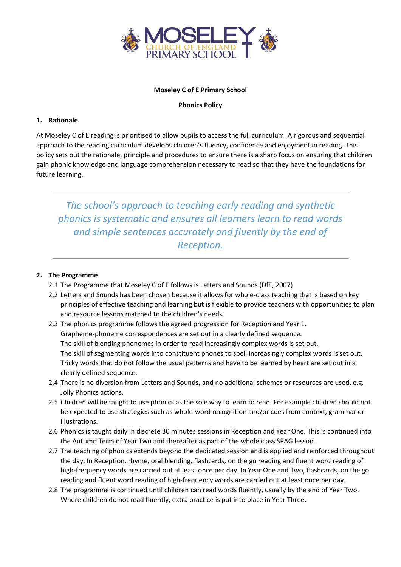

#### **Moseley C of E Primary School**

#### **Phonics Policy**

# **1. Rationale**

At Moseley C of E reading is prioritised to allow pupils to access the full curriculum. A rigorous and sequential approach to the reading curriculum develops children's fluency, confidence and enjoyment in reading. This policy sets out the rationale, principle and procedures to ensure there is a sharp focus on ensuring that children gain phonic knowledge and language comprehension necessary to read so that they have the foundations for future learning.

*The school's approach to teaching early reading and synthetic phonics is systematic and ensures all learners learn to read words and simple sentences accurately and fluently by the end of Reception.*

# **2. The Programme**

- 2.1 The Programme that Moseley C of E follows is Letters and Sounds (DfE, 2007)
- 2.2 Letters and Sounds has been chosen because it allows for whole-class teaching that is based on key principles of effective teaching and learning but is flexible to provide teachers with opportunities to plan and resource lessons matched to the children's needs.
- 2.3 The phonics programme follows the agreed progression for Reception and Year 1. Grapheme-phoneme correspondences are set out in a clearly defined sequence. The skill of blending phonemes in order to read increasingly complex words is set out. The skill of segmenting words into constituent phones to spell increasingly complex words is set out. Tricky words that do not follow the usual patterns and have to be learned by heart are set out in a clearly defined sequence.
- 2.4 There is no diversion from Letters and Sounds, and no additional schemes or resources are used, e.g. Jolly Phonics actions.
- 2.5 Children will be taught to use phonics as the sole way to learn to read. For example children should not be expected to use strategies such as whole-word recognition and/or cues from context, grammar or illustrations.
- 2.6 Phonics is taught daily in discrete 30 minutes sessions in Reception and Year One. This is continued into the Autumn Term of Year Two and thereafter as part of the whole class SPAG lesson.
- 2.7 The teaching of phonics extends beyond the dedicated session and is applied and reinforced throughout the day. In Reception, rhyme, oral blending, flashcards, on the go reading and fluent word reading of high-frequency words are carried out at least once per day. In Year One and Two, flashcards, on the go reading and fluent word reading of high-frequency words are carried out at least once per day.
- 2.8 The programme is continued until children can read words fluently, usually by the end of Year Two. Where children do not read fluently, extra practice is put into place in Year Three.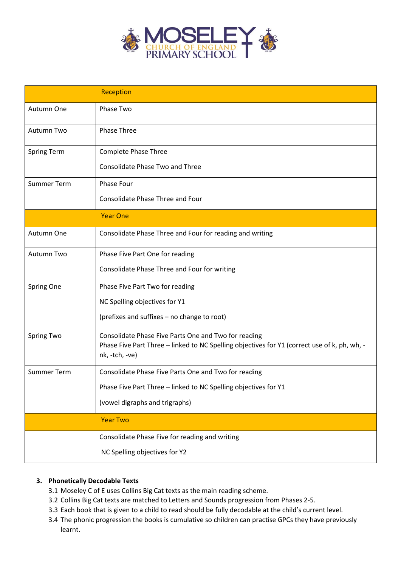

|                    | Reception                                                                                                                                                              |
|--------------------|------------------------------------------------------------------------------------------------------------------------------------------------------------------------|
| Autumn One         | Phase Two                                                                                                                                                              |
| Autumn Two         | <b>Phase Three</b>                                                                                                                                                     |
| Spring Term        | <b>Complete Phase Three</b>                                                                                                                                            |
|                    | <b>Consolidate Phase Two and Three</b>                                                                                                                                 |
| <b>Summer Term</b> | Phase Four                                                                                                                                                             |
|                    | <b>Consolidate Phase Three and Four</b>                                                                                                                                |
|                    | <b>Year One</b>                                                                                                                                                        |
| Autumn One         | Consolidate Phase Three and Four for reading and writing                                                                                                               |
| <b>Autumn Two</b>  | Phase Five Part One for reading                                                                                                                                        |
|                    | Consolidate Phase Three and Four for writing                                                                                                                           |
| Spring One         | Phase Five Part Two for reading                                                                                                                                        |
|                    | NC Spelling objectives for Y1                                                                                                                                          |
|                    | (prefixes and suffixes - no change to root)                                                                                                                            |
| <b>Spring Two</b>  | Consolidate Phase Five Parts One and Two for reading<br>Phase Five Part Three - linked to NC Spelling objectives for Y1 (correct use of k, ph, wh, -<br>nk, -tch, -ve) |
| <b>Summer Term</b> | Consolidate Phase Five Parts One and Two for reading                                                                                                                   |
|                    | Phase Five Part Three - linked to NC Spelling objectives for Y1                                                                                                        |
|                    | (vowel digraphs and trigraphs)                                                                                                                                         |
|                    | <b>Year Two</b>                                                                                                                                                        |
|                    | Consolidate Phase Five for reading and writing                                                                                                                         |
|                    | NC Spelling objectives for Y2                                                                                                                                          |

# **3. Phonetically Decodable Texts**

- 3.1 Moseley C of E uses Collins Big Cat texts as the main reading scheme.
- 3.2 Collins Big Cat texts are matched to Letters and Sounds progression from Phases 2-5.
- 3.3 Each book that is given to a child to read should be fully decodable at the child's current level.
- 3.4 The phonic progression the books is cumulative so children can practise GPCs they have previously learnt.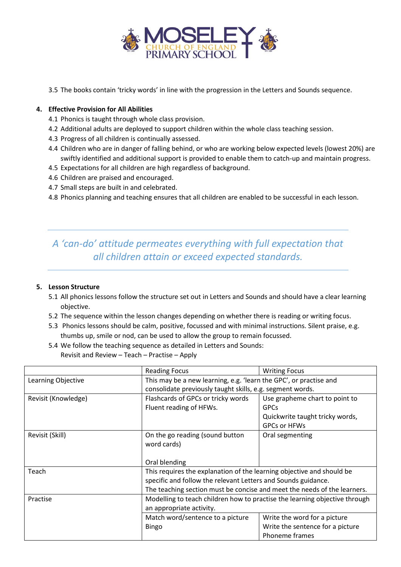

3.5 The books contain 'tricky words' in line with the progression in the Letters and Sounds sequence.

### **4. Effective Provision for All Abilities**

- 4.1 Phonics is taught through whole class provision.
- 4.2 Additional adults are deployed to support children within the whole class teaching session.
- 4.3 Progress of all children is continually assessed.
- 4.4 Children who are in danger of falling behind, or who are working below expected levels (lowest 20%) are swiftly identified and additional support is provided to enable them to catch-up and maintain progress.
- 4.5 Expectations for all children are high regardless of background.
- 4.6 Children are praised and encouraged.
- 4.7 Small steps are built in and celebrated.
- 4.8 Phonics planning and teaching ensures that all children are enabled to be successful in each lesson.

# *A 'can-do' attitude permeates everything with full expectation that all children attain or exceed expected standards.*

## **5. Lesson Structure**

- 5.1 All phonics lessons follow the structure set out in Letters and Sounds and should have a clear learning objective.
- 5.2 The sequence within the lesson changes depending on whether there is reading or writing focus.
- 5.3 Phonics lessons should be calm, positive, focussed and with minimal instructions. Silent praise, e.g. thumbs up, smile or nod, can be used to allow the group to remain focussed.
- 5.4 We follow the teaching sequence as detailed in Letters and Sounds: Revisit and Review – Teach – Practise – Apply

|                     | <b>Reading Focus</b>                                                       | <b>Writing Focus</b>             |  |
|---------------------|----------------------------------------------------------------------------|----------------------------------|--|
| Learning Objective  | This may be a new learning, e.g. 'learn the GPC', or practise and          |                                  |  |
|                     | consolidate previously taught skills, e.g. segment words.                  |                                  |  |
| Revisit (Knowledge) | Flashcards of GPCs or tricky words                                         | Use grapheme chart to point to   |  |
|                     | Fluent reading of HFWs.                                                    | <b>GPCs</b>                      |  |
|                     |                                                                            | Quickwrite taught tricky words,  |  |
|                     |                                                                            | <b>GPCs or HFWs</b>              |  |
| Revisit (Skill)     | On the go reading (sound button                                            | Oral segmenting                  |  |
|                     | word cards)                                                                |                                  |  |
|                     |                                                                            |                                  |  |
|                     | Oral blending                                                              |                                  |  |
| Teach               | This requires the explanation of the learning objective and should be      |                                  |  |
|                     | specific and follow the relevant Letters and Sounds guidance.              |                                  |  |
|                     | The teaching section must be concise and meet the needs of the learners.   |                                  |  |
| Practise            | Modelling to teach children how to practise the learning objective through |                                  |  |
|                     | an appropriate activity.                                                   |                                  |  |
|                     | Match word/sentence to a picture                                           | Write the word for a picture     |  |
|                     | <b>Bingo</b>                                                               | Write the sentence for a picture |  |
|                     |                                                                            | Phoneme frames                   |  |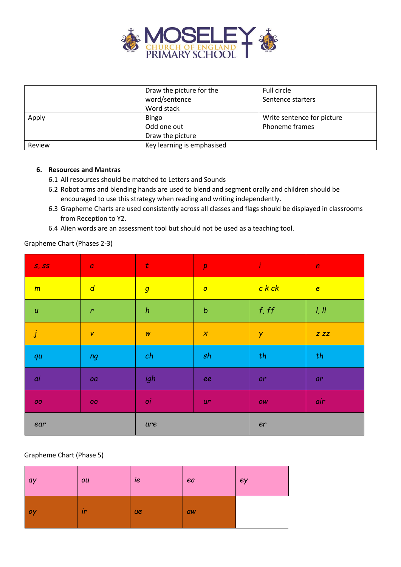

|        | Draw the picture for the   | Full circle                |  |
|--------|----------------------------|----------------------------|--|
|        | word/sentence              | Sentence starters          |  |
|        | Word stack                 |                            |  |
| Apply  | <b>Bingo</b>               | Write sentence for picture |  |
|        | Odd one out                | Phoneme frames             |  |
|        | Draw the picture           |                            |  |
| Review | Key learning is emphasised |                            |  |

#### **6. Resources and Mantras**

- 6.1 All resources should be matched to Letters and Sounds
- 6.2 Robot arms and blending hands are used to blend and segment orally and children should be encouraged to use this strategy when reading and writing independently.
- 6.3 Grapheme Charts are used consistently across all classes and flags should be displayed in classrooms from Reception to Y2.
- 6.4 Alien words are an assessment tool but should not be used as a teaching tool.

# Grapheme Chart (Phases 2-3)

| S, SS              | $\boldsymbol{a}$ | $\mathbf t$      | $\pmb{p}$        | $\mathbf{r}$ and $\mathbf{r}$ | $\boldsymbol{n}$ |
|--------------------|------------------|------------------|------------------|-------------------------------|------------------|
| m                  | $\overline{d}$   | $\overline{g}$   | $\boldsymbol{o}$ | $c$ $k$ $ck$                  | $\epsilon$       |
| $\boldsymbol{u}$   | $\mathbf{r}$     | $\boldsymbol{h}$ | $\boldsymbol{b}$ | f, ff                         | l, ll            |
| $\vert j \vert$    | $\mathsf{V}$     | $\boldsymbol{W}$ | $\boldsymbol{x}$ | Y                             | $Z$ $ZZ$         |
| qu                 | ng               | ch               | sh               | th                            | th               |
| ai                 | oa               | igh              | ee               | or                            | ar               |
| ${\cal O}{\cal O}$ | 00               | oi               | ur               | OW                            | air              |
| ear                |                  | ure              |                  | er                            |                  |

#### Grapheme Chart (Phase 5)

| $ $ ay | ou | ie        | ea | ey |
|--------|----|-----------|----|----|
| oy     | ir | <b>ye</b> | aw |    |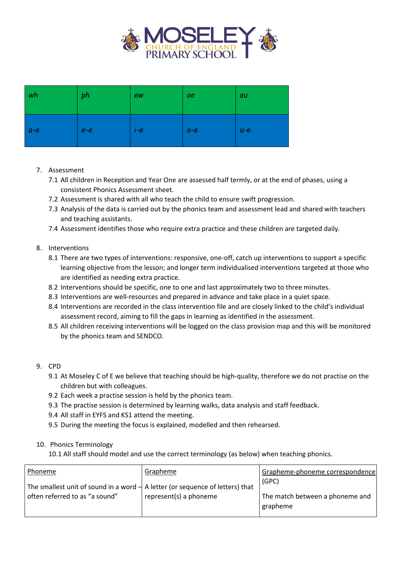

| wh    | ph    | ew      | <b>oe</b> | au      |
|-------|-------|---------|-----------|---------|
| $a-e$ | $e-e$ | $I - e$ | $O - C$   | $U - e$ |

# 7. Assessment

- 7.1 All children in Reception and Year One are assessed half termly, or at the end of phases, using a consistent Phonics Assessment sheet.
- 7.2 Assessment is shared with all who teach the child to ensure swift progression.
- 7.3 Analysis of the data is carried out by the phonics team and assessment lead and shared with teachers and teaching assistants.
- 7.4 Assessment identifies those who require extra practice and these children are targeted daily.

# 8. Interventions

- 8.1 There are two types of interventions: responsive, one-off, catch up interventions to support a specific learning objective from the lesson; and longer term individualised interventions targeted at those who are identified as needing extra practice.
- 8.2 Interventions should be specific, one to one and last approximately two to three minutes.
- 8.3 Interventions are well-resources and prepared in advance and take place in a quiet space.
- 8.4 Interventions are recorded in the class intervention file and are closely linked to the child's individual assessment record, aiming to fill the gaps in learning as identified in the assessment.
- 8.5 All children receiving interventions will be logged on the class provision map and this will be monitored by the phonics team and SENDCO.

#### 9. CPD

- 9.1 At Moseley C of E we believe that teaching should be high-quality, therefore we do not practise on the children but with colleagues.
- 9.2 Each week a practise session is held by the phonics team.
- 9.3 The practise session is determined by learning walks, data analysis and staff feedback.
- 9.4 All staff in EYFS and KS1 attend the meeting.
- 9.5 During the meeting the focus is explained, modelled and then rehearsed.

#### 10. Phonics Terminology

10.1 All staff should model and use the correct terminology (as below) when teaching phonics.

| Phoneme                                                                                   | Grapheme               | Grapheme-phoneme correspondence |
|-------------------------------------------------------------------------------------------|------------------------|---------------------------------|
| The smallest unit of sound in a word $\frac{1}{x}$ A letter (or sequence of letters) that |                        | (GPC)                           |
| often referred to as "a sound"                                                            | represent(s) a phoneme | The match between a phoneme and |
|                                                                                           |                        | grapheme                        |